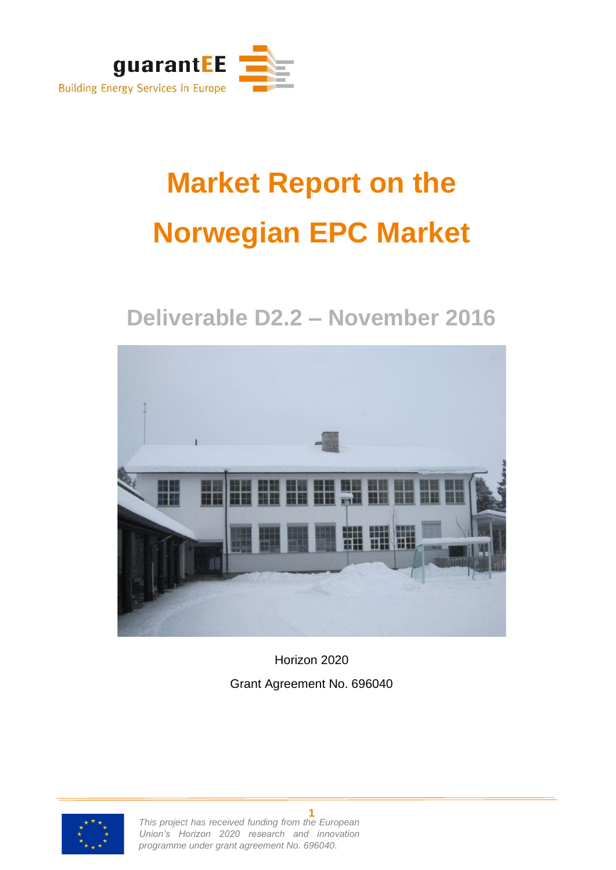

# **Market Report on the Norwegian EPC Market**

## **Deliverable D2.2 – November 2016**



Horizon 2020

Grant Agreement No. 696040



**1** *This project has received funding from the European Union's Horizon 2020 research and innovation programme under grant agreement No. 696040*.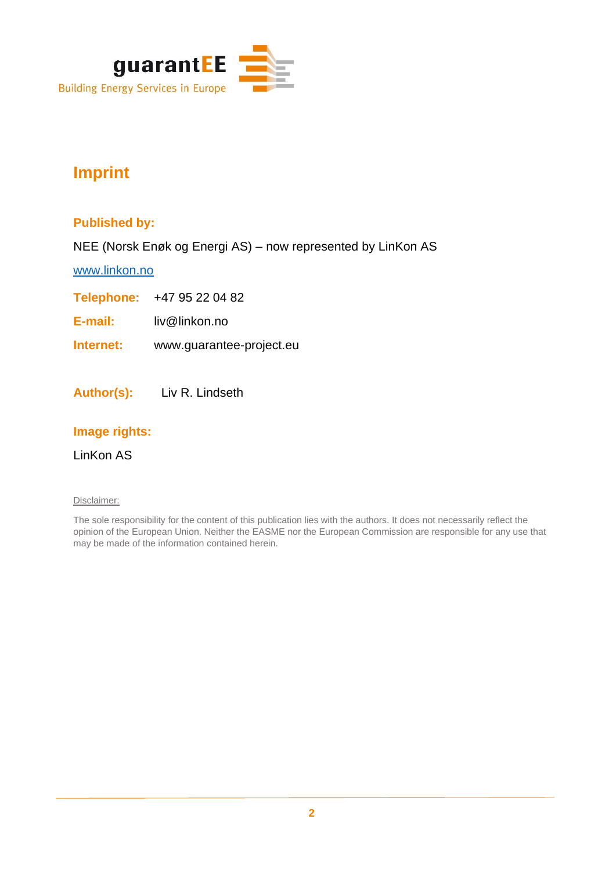

### **Imprint**

#### **Published by:**

NEE (Norsk Enøk og Energi AS) – now represented by LinKon AS

[www.linkon.no](http://www.linkon.no/)

**Telephone:** +47 95 22 04 82

**E-mail:** liv@linkon.no

**Internet:** [www.guarantee-project.eu](http://www.guarantee-project.eu/)

**Author(s):** Liv R. Lindseth

#### **Image rights:**

LinKon AS

#### Disclaimer:

The sole responsibility for the content of this publication lies with the authors. It does not necessarily reflect the opinion of the European Union. Neither the EASME nor the European Commission are responsible for any use that may be made of the information contained herein.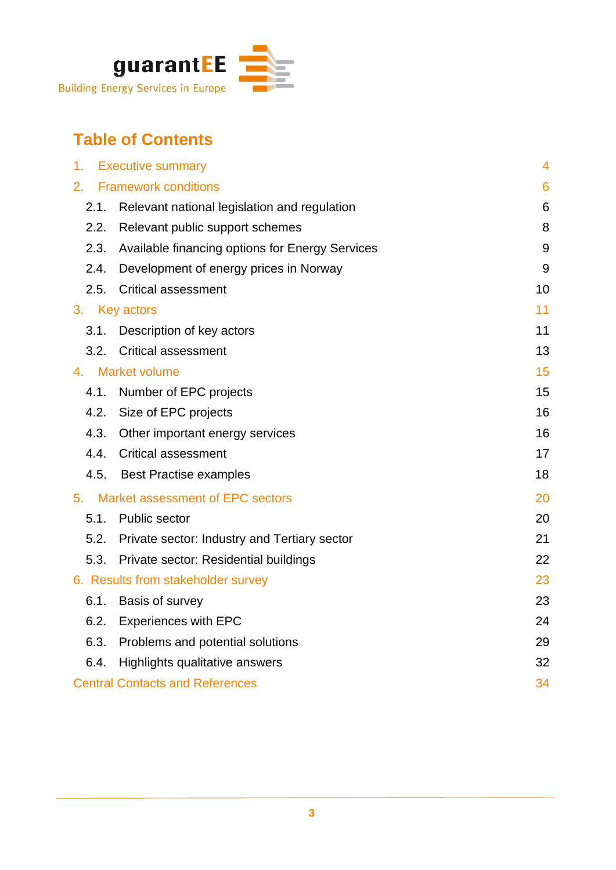

### **Table of Contents**

| 1.   | <b>Executive summary</b>                          | $\overline{4}$  |
|------|---------------------------------------------------|-----------------|
| 2.   | <b>Framework conditions</b>                       | $6\phantom{1}6$ |
| 2.1. | Relevant national legislation and regulation      | 6               |
| 2.2. | Relevant public support schemes                   | 8               |
| 2.3. | Available financing options for Energy Services   | 9               |
| 2.4. | Development of energy prices in Norway            | 9               |
| 2.5. | <b>Critical assessment</b>                        | 10              |
|      | 3. Key actors                                     | 11              |
| 3.1. | Description of key actors                         | 11              |
| 3.2. | <b>Critical assessment</b>                        | 13              |
|      | 4. Market volume                                  | 15              |
| 4.1. | Number of EPC projects                            | 15              |
|      | 4.2. Size of EPC projects                         | 16              |
| 4.3. | Other important energy services                   | 16              |
|      | 4.4. Critical assessment                          | 17              |
| 4.5. | <b>Best Practise examples</b>                     | 18              |
| 5.   | Market assessment of EPC sectors                  | 20              |
| 5.1. | Public sector                                     | 20              |
|      | 5.2. Private sector: Industry and Tertiary sector | 21              |
| 5.3. | Private sector: Residential buildings             | 22              |
|      | 6. Results from stakeholder survey                | 23              |
| 6.1. | Basis of survey                                   | 23              |
|      | 6.2. Experiences with EPC                         | 24              |
| 6.3. | Problems and potential solutions                  | 29              |
| 6.4. | Highlights qualitative answers                    | 32              |
|      | <b>Central Contacts and References</b>            | 34              |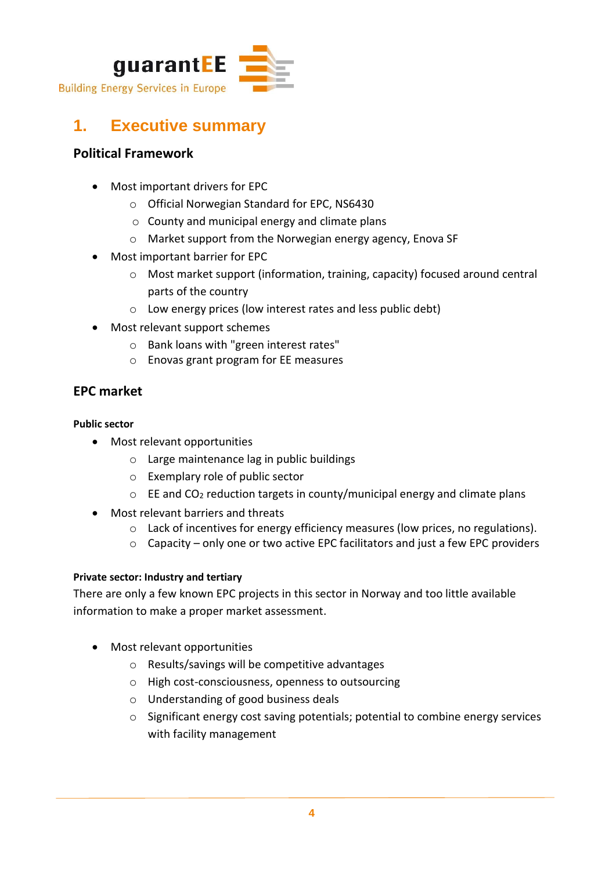

### **1. Executive summary**

#### **Political Framework**

- Most important drivers for EPC
	- o Official Norwegian Standard for EPC, NS6430
	- o County and municipal energy and climate plans
	- o Market support from the Norwegian energy agency, Enova SF
- Most important barrier for EPC
	- o Most market support (information, training, capacity) focused around central parts of the country
	- o Low energy prices (low interest rates and less public debt)
- Most relevant support schemes
	- o Bank loans with "green interest rates"
	- o Enovas grant program for EE measures

#### **EPC market**

#### **Public sector**

- Most relevant opportunities
	- o Large maintenance lag in public buildings
	- o Exemplary role of public sector
	- $\circ$  EE and CO<sub>2</sub> reduction targets in county/municipal energy and climate plans
- Most relevant barriers and threats
	- $\circ$  Lack of incentives for energy efficiency measures (low prices, no regulations).
	- o Capacity only one or two active EPC facilitators and just a few EPC providers

#### **Private sector: Industry and tertiary**

There are only a few known EPC projects in this sector in Norway and too little available information to make a proper market assessment.

- Most relevant opportunities
	- o Results/savings will be competitive advantages
	- o High cost-consciousness, openness to outsourcing
	- o Understanding of good business deals
	- o Significant energy cost saving potentials; potential to combine energy services with facility management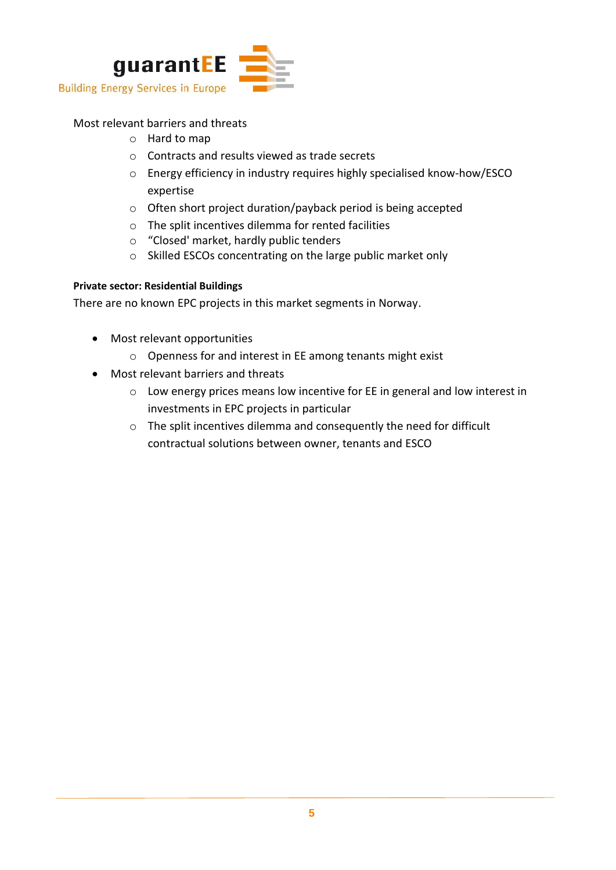

#### Most relevant barriers and threats

- o Hard to map
- o Contracts and results viewed as trade secrets
- o Energy efficiency in industry requires highly specialised know-how/ESCO expertise
- o Often short project duration/payback period is being accepted
- o The split incentives dilemma for rented facilities
- o "Closed' market, hardly public tenders
- o Skilled ESCOs concentrating on the large public market only

#### **Private sector: Residential Buildings**

There are no known EPC projects in this market segments in Norway.

- Most relevant opportunities
	- o Openness for and interest in EE among tenants might exist
- Most relevant barriers and threats
	- o Low energy prices means low incentive for EE in general and low interest in investments in EPC projects in particular
	- o The split incentives dilemma and consequently the need for difficult contractual solutions between owner, tenants and ESCO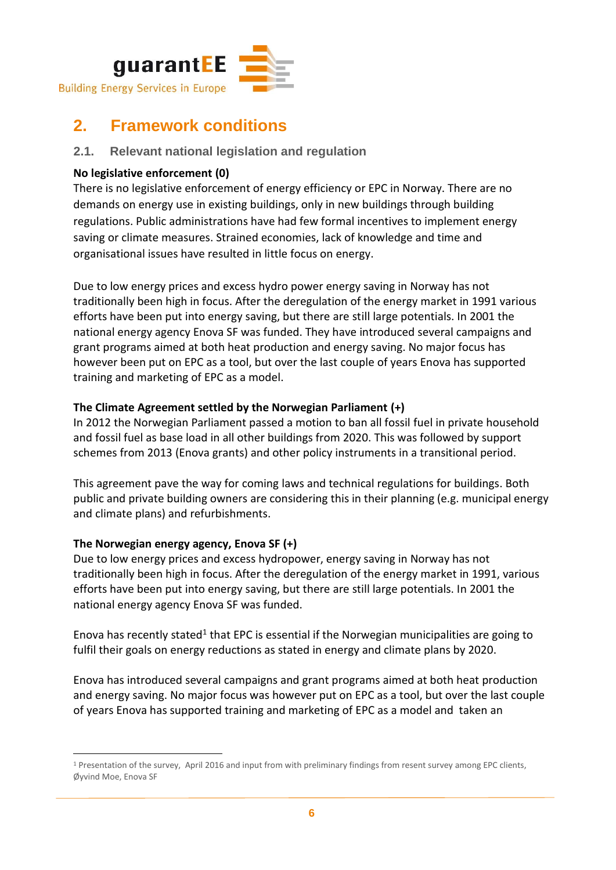

### **2. Framework conditions**

#### **2.1. Relevant national legislation and regulation**

#### **No legislative enforcement (0)**

There is no legislative enforcement of energy efficiency or EPC in Norway. There are no demands on energy use in existing buildings, only in new buildings through building regulations. Public administrations have had few formal incentives to implement energy saving or climate measures. Strained economies, lack of knowledge and time and organisational issues have resulted in little focus on energy.

Due to low energy prices and excess hydro power energy saving in Norway has not traditionally been high in focus. After the deregulation of the energy market in 1991 various efforts have been put into energy saving, but there are still large potentials. In 2001 the national energy agency Enova SF was funded. They have introduced several campaigns and grant programs aimed at both heat production and energy saving. No major focus has however been put on EPC as a tool, but over the last couple of years Enova has supported training and marketing of EPC as a model.

#### **The Climate Agreement settled by the Norwegian Parliament (+)**

In 2012 the Norwegian Parliament passed a motion to ban all fossil fuel in private household and fossil fuel as base load in all other buildings from 2020. This was followed by support schemes from 2013 (Enova grants) and other policy instruments in a transitional period.

This agreement pave the way for coming laws and technical regulations for buildings. Both public and private building owners are considering this in their planning (e.g. municipal energy and climate plans) and refurbishments.

#### **The Norwegian energy agency, Enova SF (+)**

Due to low energy prices and excess hydropower, energy saving in Norway has not traditionally been high in focus. After the deregulation of the energy market in 1991, various efforts have been put into energy saving, but there are still large potentials. In 2001 the national energy agency Enova SF was funded.

Enova has recently stated<sup>1</sup> that EPC is essential if the Norwegian municipalities are going to fulfil their goals on energy reductions as stated in energy and climate plans by 2020.

Enova has introduced several campaigns and grant programs aimed at both heat production and energy saving. No major focus was however put on EPC as a tool, but over the last couple of years Enova has supported training and marketing of EPC as a model and taken an

<sup>1</sup> Presentation of the survey, April 2016 and input from with preliminary findings from resent survey among EPC clients, Øyvind Moe, Enova SF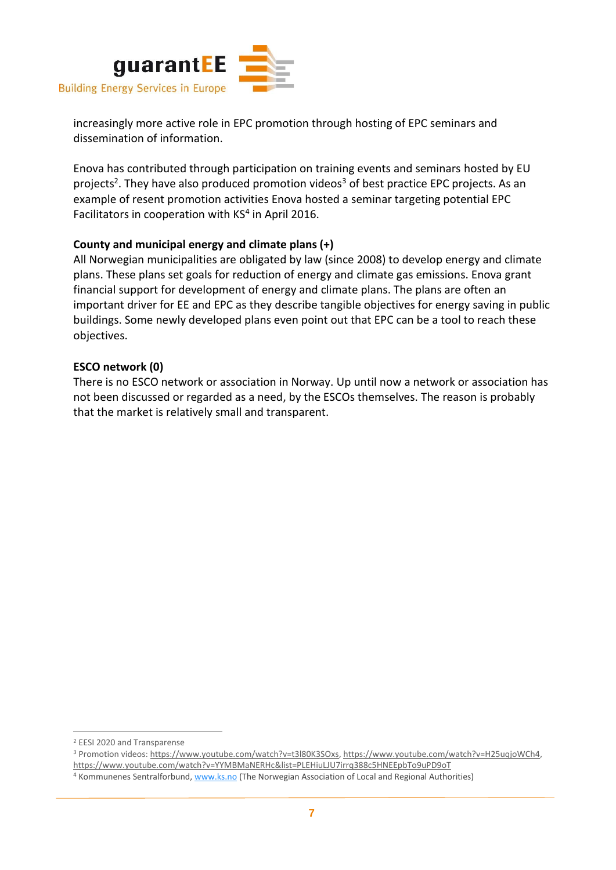

increasingly more active role in EPC promotion through hosting of EPC seminars and dissemination of information.

Enova has contributed through participation on training events and seminars hosted by EU projects<sup>2</sup>. They have also produced promotion videos<sup>3</sup> of best practice EPC projects. As an example of resent promotion activities Enova hosted a seminar targeting potential EPC Facilitators in cooperation with KS<sup>4</sup> in April 2016.

#### **County and municipal energy and climate plans (+)**

All Norwegian municipalities are obligated by law (since 2008) to develop energy and climate plans. These plans set goals for reduction of energy and climate gas emissions. Enova grant financial support for development of energy and climate plans. The plans are often an important driver for EE and EPC as they describe tangible objectives for energy saving in public buildings. Some newly developed plans even point out that EPC can be a tool to reach these objectives.

#### **ESCO network (0)**

There is no ESCO network or association in Norway. Up until now a network or association has not been discussed or regarded as a need, by the ESCOs themselves. The reason is probably that the market is relatively small and transparent.

<sup>3</sup> Promotion videos[: https://www.youtube.com/watch?v=t3l80K3SOxs,](https://www.youtube.com/watch?v=t3l80K3SOxs) [https://www.youtube.com/watch?v=H25uqjoWCh4,](https://www.youtube.com/watch?v=H25uqjoWCh4) <https://www.youtube.com/watch?v=YYMBMaNERHc&list=PLEHiuLJU7irrq388c5HNEEpbTo9uPD9oT>

<sup>2</sup> EESI 2020 and Transparense

<sup>4</sup> Kommunenes Sentralforbund, [www.ks.no](http://www.ks.no/) (The Norwegian Association of Local and Regional Authorities)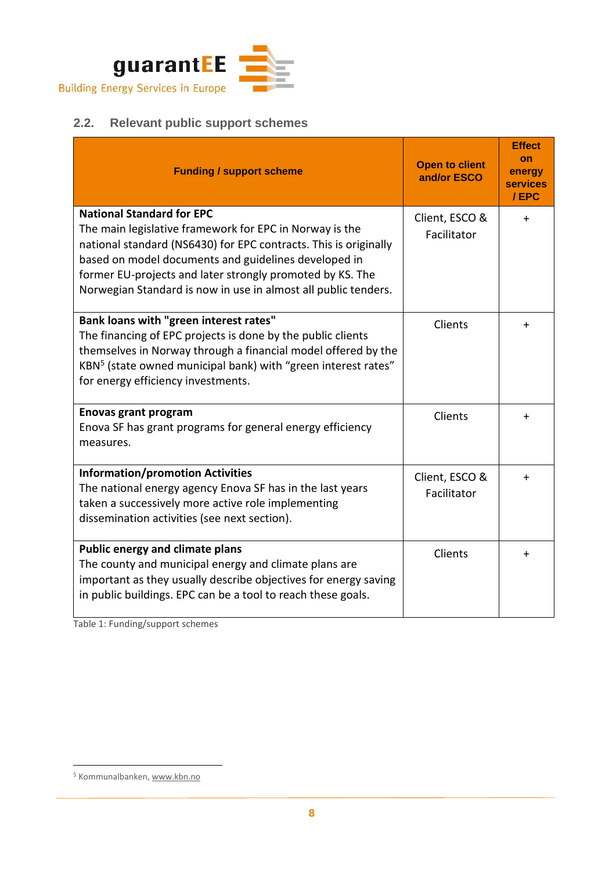

### **2.2. Relevant public support schemes**

| <b>Funding / support scheme</b>                                                                                                                                                                                                                                                                                                                        | <b>Open to client</b><br>and/or ESCO | <b>Effect</b><br>on<br>energy<br><b>services</b><br>/EPC |
|--------------------------------------------------------------------------------------------------------------------------------------------------------------------------------------------------------------------------------------------------------------------------------------------------------------------------------------------------------|--------------------------------------|----------------------------------------------------------|
| <b>National Standard for EPC</b><br>The main legislative framework for EPC in Norway is the<br>national standard (NS6430) for EPC contracts. This is originally<br>based on model documents and guidelines developed in<br>former EU-projects and later strongly promoted by KS. The<br>Norwegian Standard is now in use in almost all public tenders. | Client, ESCO &<br>Facilitator        | $\ddot{}$                                                |
| Bank loans with "green interest rates"<br>The financing of EPC projects is done by the public clients<br>themselves in Norway through a financial model offered by the<br>KBN <sup>5</sup> (state owned municipal bank) with "green interest rates"<br>for energy efficiency investments.                                                              | Clients                              | $\ddag$                                                  |
| <b>Enovas grant program</b><br>Enova SF has grant programs for general energy efficiency<br>measures.                                                                                                                                                                                                                                                  | Clients                              | $\ddot{}$                                                |
| <b>Information/promotion Activities</b><br>The national energy agency Enova SF has in the last years<br>taken a successively more active role implementing<br>dissemination activities (see next section).                                                                                                                                             | Client, ESCO &<br>Facilitator        | $\ddot{}$                                                |
| <b>Public energy and climate plans</b><br>The county and municipal energy and climate plans are<br>important as they usually describe objectives for energy saving<br>in public buildings. EPC can be a tool to reach these goals.                                                                                                                     | Clients                              | $\ddot{}$                                                |

Table 1: Funding/support schemes

<sup>5</sup> Kommunalbanken, [www.kbn.no](http://www.kbn.no/)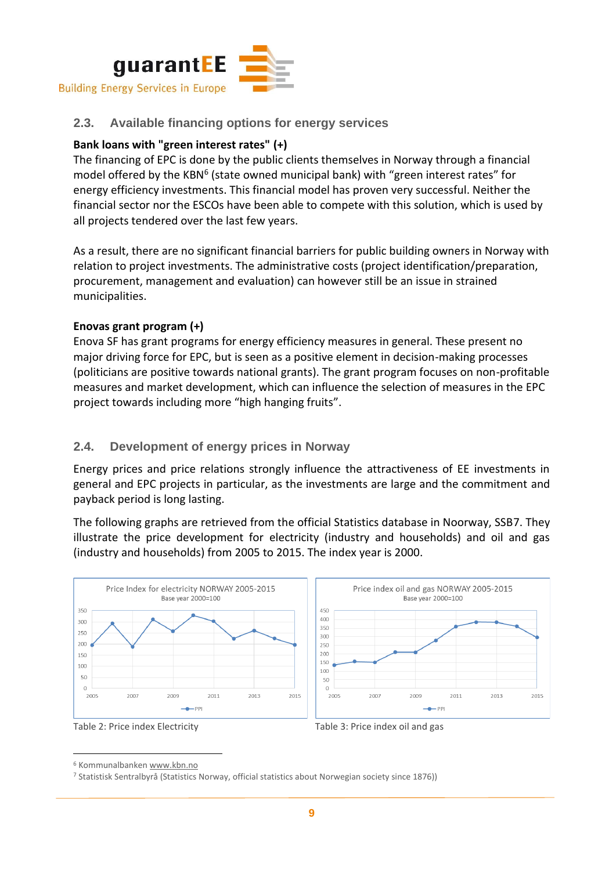

#### **2.3. Available financing options for energy services**

#### **Bank loans with "green interest rates" (+)**

The financing of EPC is done by the public clients themselves in Norway through a financial model offered by the KBN<sup>6</sup> (state owned municipal bank) with "green interest rates" for energy efficiency investments. This financial model has proven very successful. Neither the financial sector nor the ESCOs have been able to compete with this solution, which is used by all projects tendered over the last few years.

As a result, there are no significant financial barriers for public building owners in Norway with relation to project investments. The administrative costs (project identification/preparation, procurement, management and evaluation) can however still be an issue in strained municipalities.

#### **Enovas grant program (+)**

Enova SF has grant programs for energy efficiency measures in general. These present no major driving force for EPC, but is seen as a positive element in decision-making processes (politicians are positive towards national grants). The grant program focuses on non-profitable measures and market development, which can influence the selection of measures in the EPC project towards including more "high hanging fruits".

#### **2.4. Development of energy prices in Norway**

Energy prices and price relations strongly influence the attractiveness of EE investments in general and EPC projects in particular, as the investments are large and the commitment and payback period is long lasting.

The following graphs are retrieved from the official Statistics database in Noorway, SSB7. They illustrate the price development for electricity (industry and households) and oil and gas (industry and households) from 2005 to 2015. The index year is 2000.









<sup>6</sup> Kommunalbanke[n www.kbn.no](http://www.kbn.no/)

<sup>7</sup> Statistisk Sentralbyrå (Statistics Norway, official statistics about Norwegian society since 1876))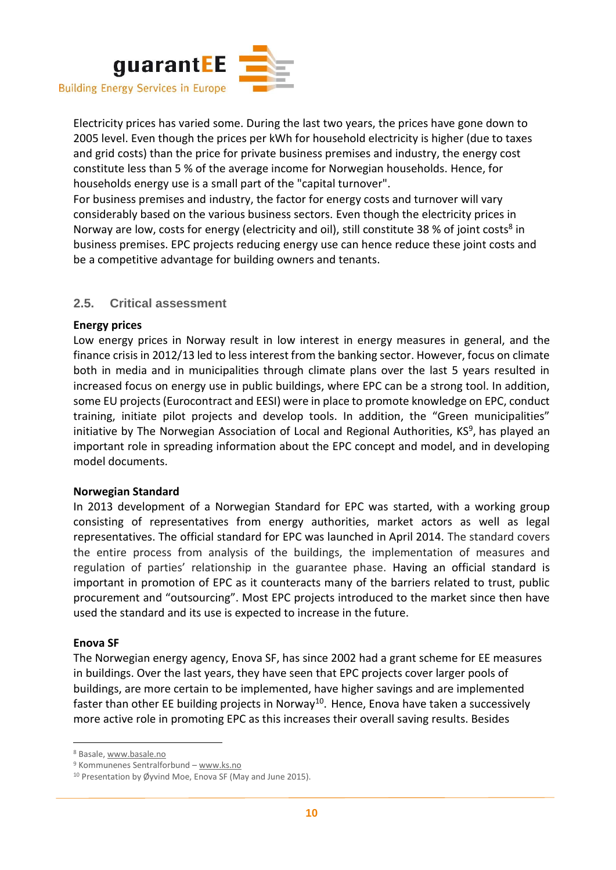

Electricity prices has varied some. During the last two years, the prices have gone down to 2005 level. Even though the prices per kWh for household electricity is higher (due to taxes and grid costs) than the price for private business premises and industry, the energy cost constitute less than 5 % of the average income for Norwegian households. Hence, for households energy use is a small part of the "capital turnover".

For business premises and industry, the factor for energy costs and turnover will vary considerably based on the various business sectors. Even though the electricity prices in Norway are low, costs for energy (electricity and oil), still constitute 38 % of joint costs<sup>8</sup> in business premises. EPC projects reducing energy use can hence reduce these joint costs and be a competitive advantage for building owners and tenants.

#### **2.5. Critical assessment**

#### **Energy prices**

Low energy prices in Norway result in low interest in energy measures in general, and the finance crisis in 2012/13 led to less interest from the banking sector. However, focus on climate both in media and in municipalities through climate plans over the last 5 years resulted in increased focus on energy use in public buildings, where EPC can be a strong tool. In addition, some EU projects (Eurocontract and EESI) were in place to promote knowledge on EPC, conduct training, initiate pilot projects and develop tools. In addition, the "Green municipalities" initiative by The Norwegian Association of Local and Regional Authorities, KS<sup>9</sup>, has played an important role in spreading information about the EPC concept and model, and in developing model documents.

#### **Norwegian Standard**

In 2013 development of a Norwegian Standard for EPC was started, with a working group consisting of representatives from energy authorities, market actors as well as legal representatives. The official standard for EPC was launched in April 2014. The standard covers the entire process from analysis of the buildings, the implementation of measures and regulation of parties' relationship in the guarantee phase. Having an official standard is important in promotion of EPC as it counteracts many of the barriers related to trust, public procurement and "outsourcing". Most EPC projects introduced to the market since then have used the standard and its use is expected to increase in the future.

#### **Enova SF**

The Norwegian energy agency, Enova SF, has since 2002 had a grant scheme for EE measures in buildings. Over the last years, they have seen that EPC projects cover larger pools of buildings, are more certain to be implemented, have higher savings and are implemented faster than other EE building projects in Norway<sup>10</sup>. Hence, Enova have taken a successively more active role in promoting EPC as this increases their overall saving results. Besides

<sup>8</sup> Basale, [www.basale.no](http://www.basale.no/)

<sup>9</sup> Kommunenes Sentralforbund – [www.ks.no](http://www.ks.no/)

<sup>10</sup> Presentation by Øyvind Moe, Enova SF (May and June 2015).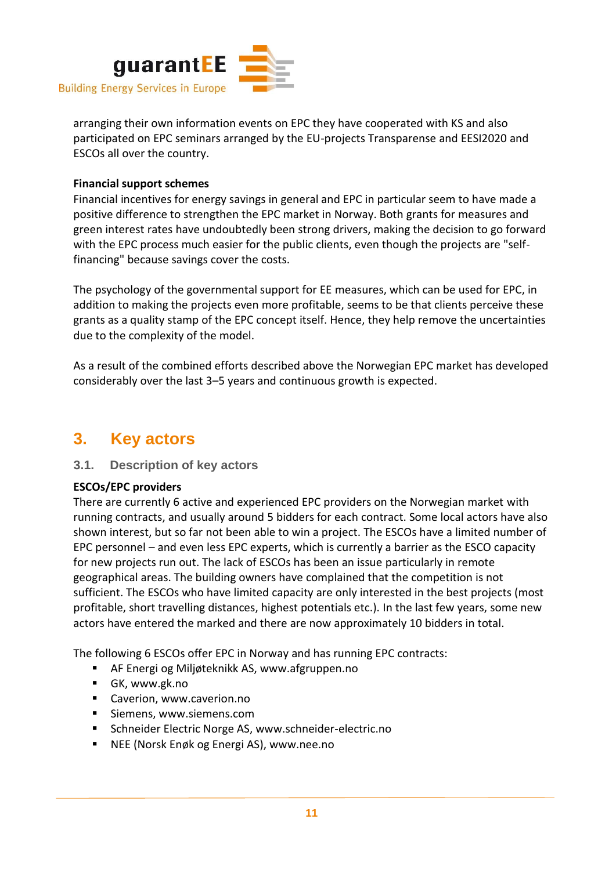

arranging their own information events on EPC they have cooperated with KS and also participated on EPC seminars arranged by the EU-projects Transparense and EESI2020 and ESCOs all over the country.

#### **Financial support schemes**

Financial incentives for energy savings in general and EPC in particular seem to have made a positive difference to strengthen the EPC market in Norway. Both grants for measures and green interest rates have undoubtedly been strong drivers, making the decision to go forward with the EPC process much easier for the public clients, even though the projects are "selffinancing" because savings cover the costs.

The psychology of the governmental support for EE measures, which can be used for EPC, in addition to making the projects even more profitable, seems to be that clients perceive these grants as a quality stamp of the EPC concept itself. Hence, they help remove the uncertainties due to the complexity of the model.

As a result of the combined efforts described above the Norwegian EPC market has developed considerably over the last 3–5 years and continuous growth is expected.

### **3. Key actors**

#### **3.1. Description of key actors**

#### **ESCOs/EPC providers**

There are currently 6 active and experienced EPC providers on the Norwegian market with running contracts, and usually around 5 bidders for each contract. Some local actors have also shown interest, but so far not been able to win a project. The ESCOs have a limited number of EPC personnel – and even less EPC experts, which is currently a barrier as the ESCO capacity for new projects run out. The lack of ESCOs has been an issue particularly in remote geographical areas. The building owners have complained that the competition is not sufficient. The ESCOs who have limited capacity are only interested in the best projects (most profitable, short travelling distances, highest potentials etc.). In the last few years, some new actors have entered the marked and there are now approximately 10 bidders in total.

The following 6 ESCOs offer EPC in Norway and has running EPC contracts:

- AF Energi og Miljøteknikk AS, www.afgruppen.no
- GK, www.gk.no
- Caverion, www.caverion.no
- Siemens, www.siemens.com
- Schneider Electric Norge AS, www.schneider-electric.no
- NEE (Norsk Enøk og Energi AS), [www.nee.no](http://www.nee.no/)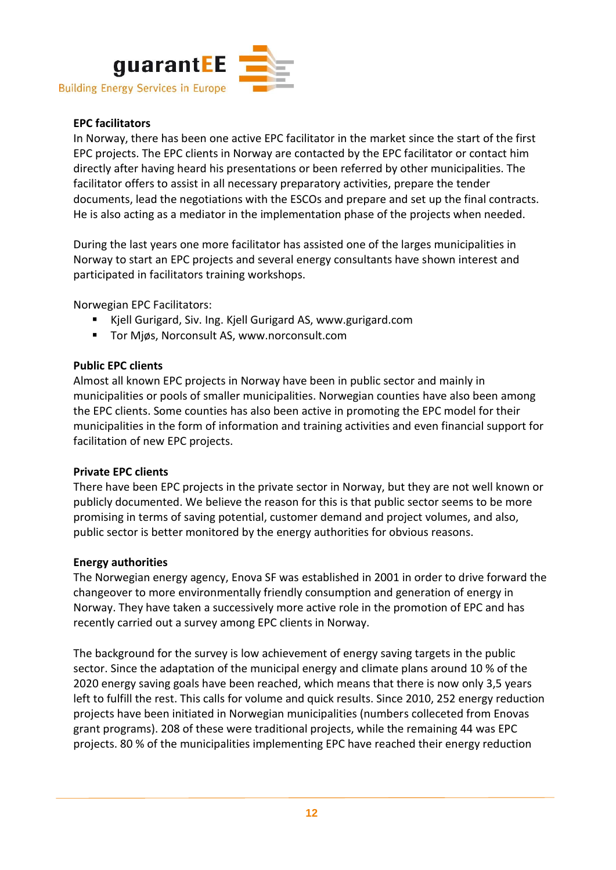

#### **EPC facilitators**

In Norway, there has been one active EPC facilitator in the market since the start of the first EPC projects. The EPC clients in Norway are contacted by the EPC facilitator or contact him directly after having heard his presentations or been referred by other municipalities. The facilitator offers to assist in all necessary preparatory activities, prepare the tender documents, lead the negotiations with the ESCOs and prepare and set up the final contracts. He is also acting as a mediator in the implementation phase of the projects when needed.

During the last years one more facilitator has assisted one of the larges municipalities in Norway to start an EPC projects and several energy consultants have shown interest and participated in facilitators training workshops.

Norwegian EPC Facilitators:

- Kjell Gurigard, Siv. Ing. Kjell Gurigard AS, www.gurigard.com
- Tor Miøs, Norconsult AS, www.norconsult.com

#### **Public EPC clients**

Almost all known EPC projects in Norway have been in public sector and mainly in municipalities or pools of smaller municipalities. Norwegian counties have also been among the EPC clients. Some counties has also been active in promoting the EPC model for their municipalities in the form of information and training activities and even financial support for facilitation of new EPC projects.

#### **Private EPC clients**

There have been EPC projects in the private sector in Norway, but they are not well known or publicly documented. We believe the reason for this is that public sector seems to be more promising in terms of saving potential, customer demand and project volumes, and also, public sector is better monitored by the energy authorities for obvious reasons.

#### **Energy authorities**

The Norwegian energy agency, Enova SF was established in 2001 in order to drive forward the changeover to more environmentally friendly consumption and generation of energy in Norway. They have taken a successively more active role in the promotion of EPC and has recently carried out a survey among EPC clients in Norway.

The background for the survey is low achievement of energy saving targets in the public sector. Since the adaptation of the municipal energy and climate plans around 10 % of the 2020 energy saving goals have been reached, which means that there is now only 3,5 years left to fulfill the rest. This calls for volume and quick results. Since 2010, 252 energy reduction projects have been initiated in Norwegian municipalities (numbers colleceted from Enovas grant programs). 208 of these were traditional projects, while the remaining 44 was EPC projects. 80 % of the municipalities implementing EPC have reached their energy reduction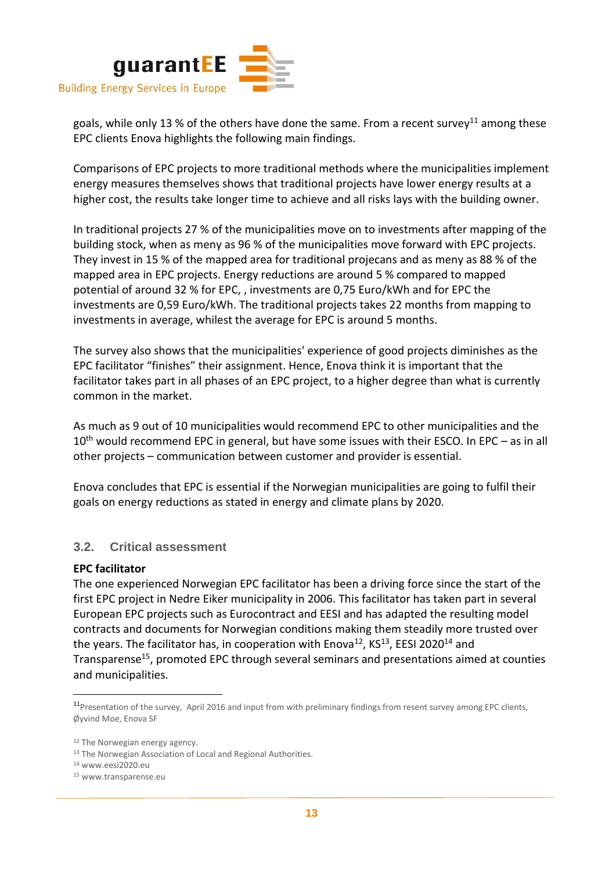

goals, while only 13 % of the others have done the same. From a recent survey<sup>11</sup> among these EPC clients Enova highlights the following main findings.

Comparisons of EPC projects to more traditional methods where the municipalities implement energy measures themselves shows that traditional projects have lower energy results at a higher cost, the results take longer time to achieve and all risks lays with the building owner.

In traditional projects 27 % of the municipalities move on to investments after mapping of the building stock, when as meny as 96 % of the municipalities move forward with EPC projects. They invest in 15 % of the mapped area for traditional projecans and as meny as 88 % of the mapped area in EPC projects. Energy reductions are around 5 % compared to mapped potential of around 32 % for EPC, , investments are 0,75 Euro/kWh and for EPC the investments are 0,59 Euro/kWh. The traditional projects takes 22 months from mapping to investments in average, whilest the average for EPC is around 5 months.

The survey also shows that the municipalities' experience of good projects diminishes as the EPC facilitator "finishes" their assignment. Hence, Enova think it is important that the facilitator takes part in all phases of an EPC project, to a higher degree than what is currently common in the market.

As much as 9 out of 10 municipalities would recommend EPC to other municipalities and the 10<sup>th</sup> would recommend EPC in general, but have some issues with their ESCO. In EPC - as in all other projects – communication between customer and provider is essential.

Enova concludes that EPC is essential if the Norwegian municipalities are going to fulfil their goals on energy reductions as stated in energy and climate plans by 2020.

#### **3.2. Critical assessment**

#### **EPC facilitator**

The one experienced Norwegian EPC facilitator has been a driving force since the start of the first EPC project in Nedre Eiker municipality in 2006. This facilitator has taken part in several European EPC projects such as Eurocontract and EESI and has adapted the resulting model contracts and documents for Norwegian conditions making them steadily more trusted over the years. The facilitator has, in cooperation with Enova<sup>12</sup>, KS<sup>13</sup>, EESI 2020<sup>14</sup> and Transparense<sup>15</sup>, promoted EPC through several seminars and presentations aimed at counties and municipalities.

 $11$ Presentation of the survey, April 2016 and input from with preliminary findings from resent survey among EPC clients, Øyvind Moe, Enova SF

<sup>12</sup> The Norwegian energy agency.

<sup>&</sup>lt;sup>13</sup> The Norwegian Association of Local and Regional Authorities.

<sup>14</sup> www.eesi2020.eu

<sup>15</sup> www.transparense.eu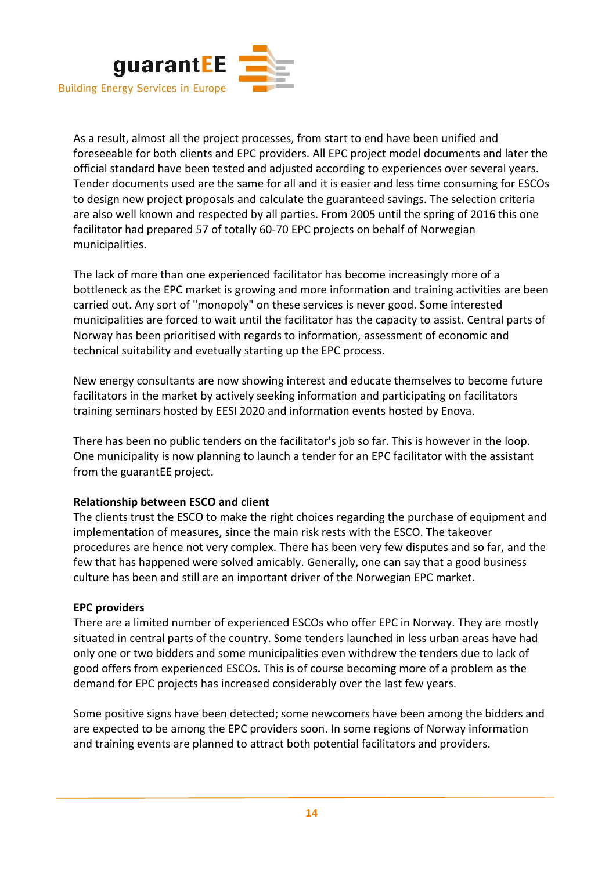

As a result, almost all the project processes, from start to end have been unified and foreseeable for both clients and EPC providers. All EPC project model documents and later the official standard have been tested and adjusted according to experiences over several years. Tender documents used are the same for all and it is easier and less time consuming for ESCOs to design new project proposals and calculate the guaranteed savings. The selection criteria are also well known and respected by all parties. From 2005 until the spring of 2016 this one facilitator had prepared 57 of totally 60-70 EPC projects on behalf of Norwegian municipalities.

The lack of more than one experienced facilitator has become increasingly more of a bottleneck as the EPC market is growing and more information and training activities are been carried out. Any sort of "monopoly" on these services is never good. Some interested municipalities are forced to wait until the facilitator has the capacity to assist. Central parts of Norway has been prioritised with regards to information, assessment of economic and technical suitability and evetually starting up the EPC process.

New energy consultants are now showing interest and educate themselves to become future facilitators in the market by actively seeking information and participating on facilitators training seminars hosted by EESI 2020 and information events hosted by Enova.

There has been no public tenders on the facilitator's job so far. This is however in the loop. One municipality is now planning to launch a tender for an EPC facilitator with the assistant from the guarantEE project.

#### **Relationship between ESCO and client**

The clients trust the ESCO to make the right choices regarding the purchase of equipment and implementation of measures, since the main risk rests with the ESCO. The takeover procedures are hence not very complex. There has been very few disputes and so far, and the few that has happened were solved amicably. Generally, one can say that a good business culture has been and still are an important driver of the Norwegian EPC market.

#### **EPC providers**

There are a limited number of experienced ESCOs who offer EPC in Norway. They are mostly situated in central parts of the country. Some tenders launched in less urban areas have had only one or two bidders and some municipalities even withdrew the tenders due to lack of good offers from experienced ESCOs. This is of course becoming more of a problem as the demand for EPC projects has increased considerably over the last few years.

Some positive signs have been detected; some newcomers have been among the bidders and are expected to be among the EPC providers soon. In some regions of Norway information and training events are planned to attract both potential facilitators and providers.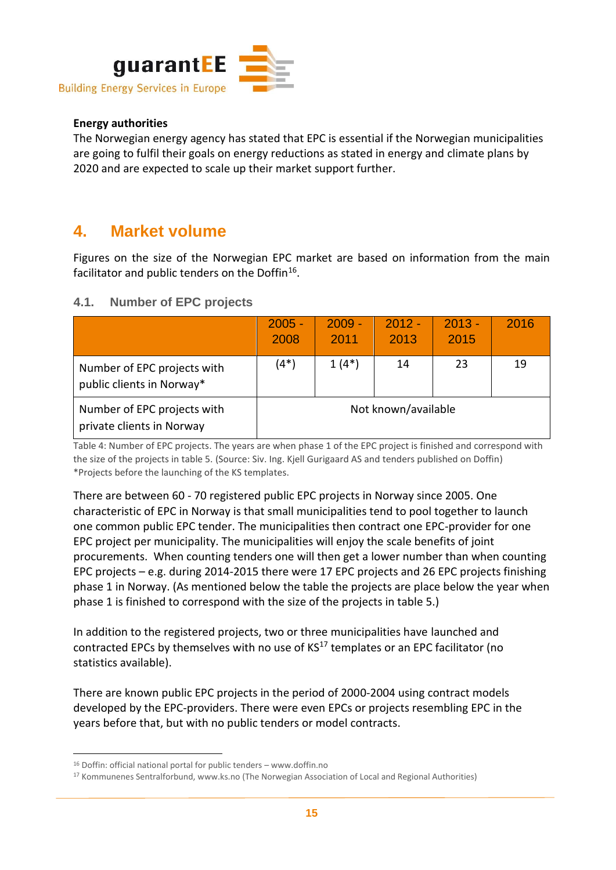

#### **Energy authorities**

The Norwegian energy agency has stated that EPC is essential if the Norwegian municipalities are going to fulfil their goals on energy reductions as stated in energy and climate plans by 2020 and are expected to scale up their market support further.

### **4. Market volume**

Figures on the size of the Norwegian EPC market are based on information from the main facilitator and public tenders on the Doffin<sup>16</sup>.

#### **4.1. Number of EPC projects**

|                                                          | $2005 -$<br>2008    | $2009 -$<br>2011 | $2012 -$<br>2013 | $2013 -$<br>2015 | 2016 |
|----------------------------------------------------------|---------------------|------------------|------------------|------------------|------|
| Number of EPC projects with<br>public clients in Norway* | $(4^*)$             | $1(4^*)$         | 14               | 23               | 19   |
| Number of EPC projects with<br>private clients in Norway | Not known/available |                  |                  |                  |      |

Table 4: Number of EPC projects. The years are when phase 1 of the EPC project is finished and correspond with the size of the projects in table 5. (Source: Siv. Ing. Kjell Gurigaard AS and tenders published on Doffin) \*Projects before the launching of the KS templates.

There are between 60 - 70 registered public EPC projects in Norway since 2005. One characteristic of EPC in Norway is that small municipalities tend to pool together to launch one common public EPC tender. The municipalities then contract one EPC-provider for one EPC project per municipality. The municipalities will enjoy the scale benefits of joint procurements. When counting tenders one will then get a lower number than when counting EPC projects – e.g. during 2014-2015 there were 17 EPC projects and 26 EPC projects finishing phase 1 in Norway. (As mentioned below the table the projects are place below the year when phase 1 is finished to correspond with the size of the projects in table 5.)

In addition to the registered projects, two or three municipalities have launched and contracted EPCs by themselves with no use of  $KS^{17}$  templates or an EPC facilitator (no statistics available).

There are known public EPC projects in the period of 2000-2004 using contract models developed by the EPC-providers. There were even EPCs or projects resembling EPC in the years before that, but with no public tenders or model contracts.

<sup>16</sup> Doffin: official national portal for public tenders – [www.doffin.no](http://www.doffin.no/)

<sup>17</sup> Kommunenes Sentralforbund, [www.ks.no](http://www.ks.no/) (The Norwegian Association of Local and Regional Authorities)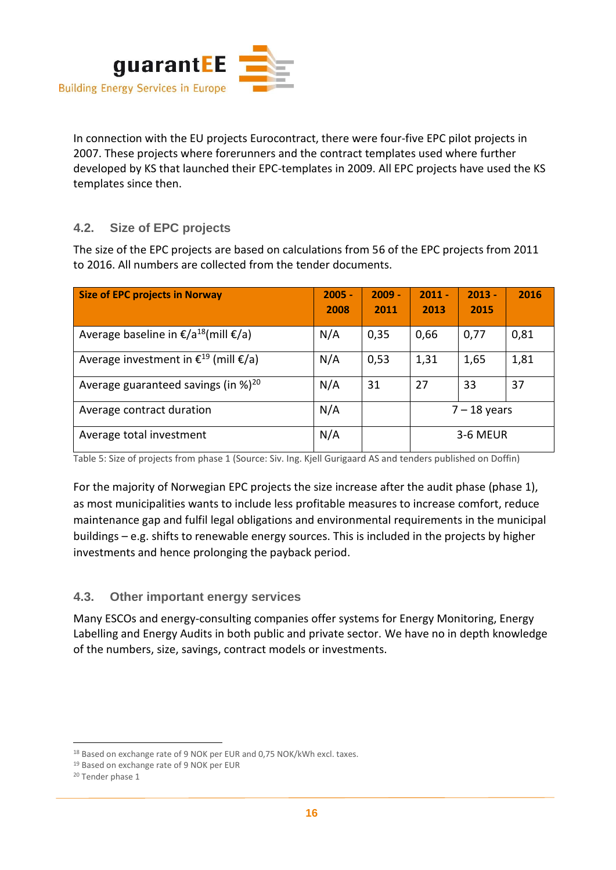

In connection with the EU projects Eurocontract, there were four-five EPC pilot projects in 2007. These projects where forerunners and the contract templates used where further developed by KS that launched their EPC-templates in 2009. All EPC projects have used the KS templates since then.

#### **4.2. Size of EPC projects**

The size of the EPC projects are based on calculations from 56 of the EPC projects from 2011 to 2016. All numbers are collected from the tender documents.

| <b>Size of EPC projects in Norway</b>                      | $2005 -$<br>2008 | $2009 -$<br>2011 | $2011 -$<br>2013 | $2013 -$<br>2015 | 2016 |
|------------------------------------------------------------|------------------|------------------|------------------|------------------|------|
| Average baseline in $\epsilon/a^{18}$ (mill $\epsilon/a$ ) | N/A              | 0,35             | 0,66             | 0,77             | 0,81 |
| Average investment in $\epsilon^{19}$ (mill $\epsilon/a$ ) | N/A              | 0,53             | 1,31             | 1,65             | 1,81 |
| Average guaranteed savings (in %) <sup>20</sup>            | N/A              | 31               | 27               | 33               | 37   |
| Average contract duration                                  | N/A              |                  | $7 - 18$ years   |                  |      |
| Average total investment                                   | N/A              |                  | 3-6 MEUR         |                  |      |

Table 5: Size of projects from phase 1 (Source: Siv. Ing. Kjell Gurigaard AS and tenders published on Doffin)

For the majority of Norwegian EPC projects the size increase after the audit phase (phase 1), as most municipalities wants to include less profitable measures to increase comfort, reduce maintenance gap and fulfil legal obligations and environmental requirements in the municipal buildings – e.g. shifts to renewable energy sources. This is included in the projects by higher investments and hence prolonging the payback period.

#### **4.3. Other important energy services**

Many ESCOs and energy-consulting companies offer systems for Energy Monitoring, Energy Labelling and Energy Audits in both public and private sector. We have no in depth knowledge of the numbers, size, savings, contract models or investments.

<sup>18</sup> Based on exchange rate of 9 NOK per EUR and 0,75 NOK/kWh excl. taxes.

<sup>19</sup> Based on exchange rate of 9 NOK per EUR

<sup>&</sup>lt;sup>20</sup> Tender phase 1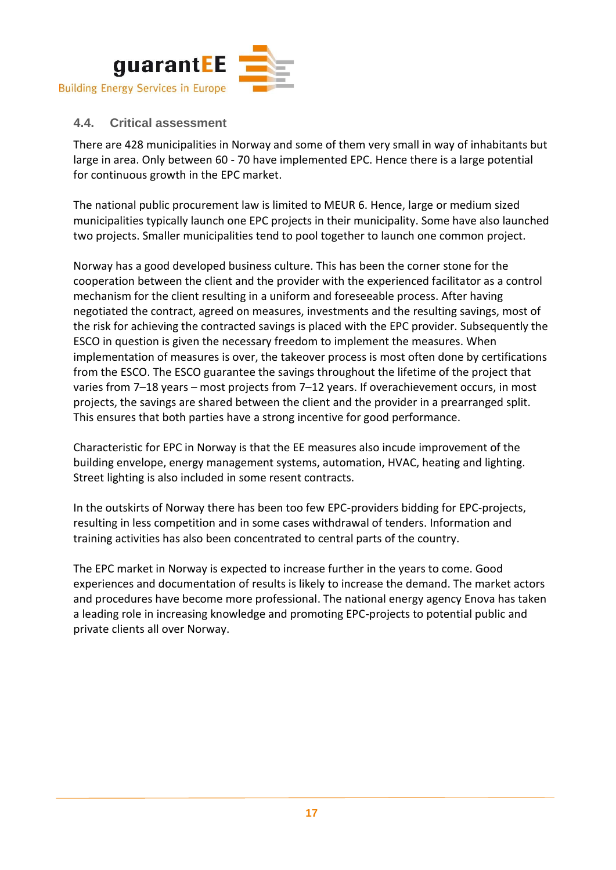

#### **4.4. Critical assessment**

There are 428 municipalities in Norway and some of them very small in way of inhabitants but large in area. Only between 60 - 70 have implemented EPC. Hence there is a large potential for continuous growth in the EPC market.

The national public procurement law is limited to MEUR 6. Hence, large or medium sized municipalities typically launch one EPC projects in their municipality. Some have also launched two projects. Smaller municipalities tend to pool together to launch one common project.

Norway has a good developed business culture. This has been the corner stone for the cooperation between the client and the provider with the experienced facilitator as a control mechanism for the client resulting in a uniform and foreseeable process. After having negotiated the contract, agreed on measures, investments and the resulting savings, most of the risk for achieving the contracted savings is placed with the EPC provider. Subsequently the ESCO in question is given the necessary freedom to implement the measures. When implementation of measures is over, the takeover process is most often done by certifications from the ESCO. The ESCO guarantee the savings throughout the lifetime of the project that varies from 7–18 years – most projects from 7–12 years. If overachievement occurs, in most projects, the savings are shared between the client and the provider in a prearranged split. This ensures that both parties have a strong incentive for good performance.

Characteristic for EPC in Norway is that the EE measures also incude improvement of the building envelope, energy management systems, automation, HVAC, heating and lighting. Street lighting is also included in some resent contracts.

In the outskirts of Norway there has been too few EPC-providers bidding for EPC-projects, resulting in less competition and in some cases withdrawal of tenders. Information and training activities has also been concentrated to central parts of the country.

The EPC market in Norway is expected to increase further in the years to come. Good experiences and documentation of results is likely to increase the demand. The market actors and procedures have become more professional. The national energy agency Enova has taken a leading role in increasing knowledge and promoting EPC-projects to potential public and private clients all over Norway.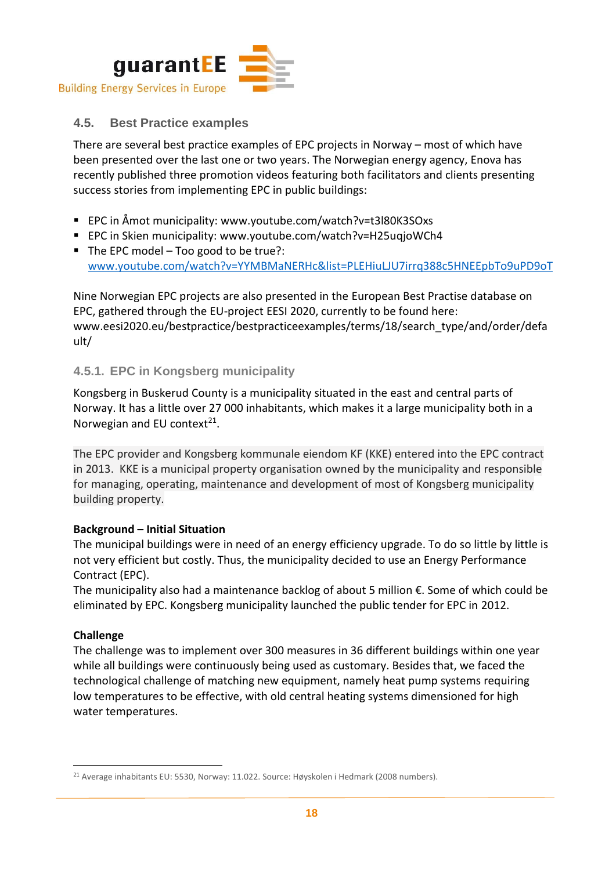

#### **4.5. Best Practice examples**

There are several best practice examples of EPC projects in Norway – most of which have been presented over the last one or two years. The Norwegian energy agency, Enova has recently published three promotion videos featuring both facilitators and clients presenting success stories from implementing EPC in public buildings:

- EPC in Åmot municipality: [www.youtube.com/watch?v=t3l80K3SOxs](http://www.youtube.com/watch?v=t3l80K3SOxs)
- EPC in Skien municipality: [www.youtube.com/watch?v=H25uqjoWCh4](http://www.youtube.com/watch?v=H25uqjoWCh4)
- The EPC model Too good to be true?: [www.youtube.com/watch?v=YYMBMaNERHc&list=PLEHiuLJU7irrq388c5HNEEpbTo9uPD9oT](http://www.youtube.com/watch?v=YYMBMaNERHc&list=PLEHiuLJU7irrq388c5HNEEpbTo9uPD9oT)

Nine Norwegian EPC projects are also presented in the European Best Practise database on EPC, gathered through the EU-project EESI 2020, currently to be found here: [www.eesi2020.eu/bestpractice/bestpracticeexamples/terms/18/search\\_type/and/order/defa](http://www.eesi2020.eu/bestpractice/bestpracticeexamples/terms/18/search_type/and/order/default/) [ult/](http://www.eesi2020.eu/bestpractice/bestpracticeexamples/terms/18/search_type/and/order/default/)

#### **4.5.1. EPC in Kongsberg municipality**

Kongsberg in Buskerud County is a municipality situated in the east and central parts of Norway. It has a little over 27 000 inhabitants, which makes it a large municipality both in a Norwegian and EU context $21$ .

The EPC provider and Kongsberg kommunale eiendom KF (KKE) entered into the EPC contract in 2013. KKE is a municipal property organisation owned by the municipality and responsible for managing, operating, maintenance and development of most of Kongsberg municipality building property.

#### **Background – Initial Situation**

The municipal buildings were in need of an energy efficiency upgrade. To do so little by little is not very efficient but costly. Thus, the municipality decided to use an Energy Performance Contract (EPC).

The municipality also had a maintenance backlog of about 5 million €. Some of which could be eliminated by EPC. Kongsberg municipality launched the public tender for EPC in 2012.

#### **Challenge**

The challenge was to implement over 300 measures in 36 different buildings within one year while all buildings were continuously being used as customary. Besides that, we faced the technological challenge of matching new equipment, namely heat pump systems requiring low temperatures to be effective, with old central heating systems dimensioned for high water temperatures.

<sup>21</sup> Average inhabitants EU: 5530, Norway: 11.022. Source: Høyskolen i Hedmark (2008 numbers).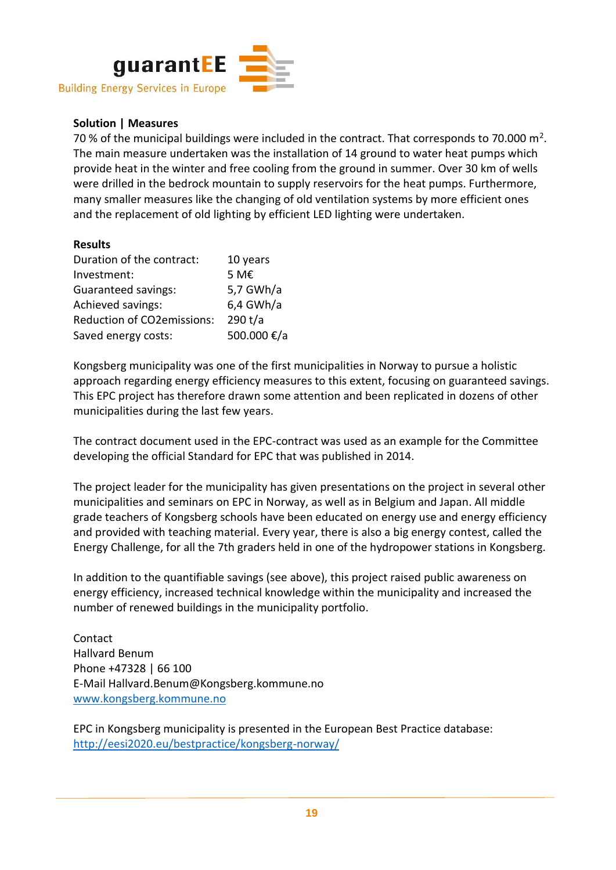

#### **Solution | Measures**

70 % of the municipal buildings were included in the contract. That corresponds to 70.000 m<sup>2</sup>. The main measure undertaken was the installation of 14 ground to water heat pumps which provide heat in the winter and free cooling from the ground in summer. Over 30 km of wells were drilled in the bedrock mountain to supply reservoirs for the heat pumps. Furthermore, many smaller measures like the changing of old ventilation systems by more efficient ones and the replacement of old lighting by efficient LED lighting were undertaken.

#### **Results**

| Duration of the contract:         | 10 years       |
|-----------------------------------|----------------|
| Investment:                       | 5 M $\epsilon$ |
| <b>Guaranteed savings:</b>        | 5,7 GWh/a      |
| Achieved savings:                 | $6,4$ GWh/a    |
| <b>Reduction of CO2emissions:</b> | 290 t/a        |
| Saved energy costs:               | 500.000 €/a    |

Kongsberg municipality was one of the first municipalities in Norway to pursue a holistic approach regarding energy efficiency measures to this extent, focusing on guaranteed savings. This EPC project has therefore drawn some attention and been replicated in dozens of other municipalities during the last few years.

The contract document used in the EPC-contract was used as an example for the Committee developing the official Standard for EPC that was published in 2014.

The project leader for the municipality has given presentations on the project in several other municipalities and seminars on EPC in Norway, as well as in Belgium and Japan. All middle grade teachers of Kongsberg schools have been educated on energy use and energy efficiency and provided with teaching material. Every year, there is also a big energy contest, called the Energy Challenge, for all the 7th graders held in one of the hydropower stations in Kongsberg.

In addition to the quantifiable savings (see above), this project raised public awareness on energy efficiency, increased technical knowledge within the municipality and increased the number of renewed buildings in the municipality portfolio.

Contact Hallvard Benum Phone +47328 | 66 100 E-Mail Hallvard.Benum@Kongsberg.kommune.no [www.kongsberg.kommune.no](http://www.kongsberg.kommune.no/)

EPC in Kongsberg municipality is presented in the European Best Practice database: <http://eesi2020.eu/bestpractice/kongsberg-norway/>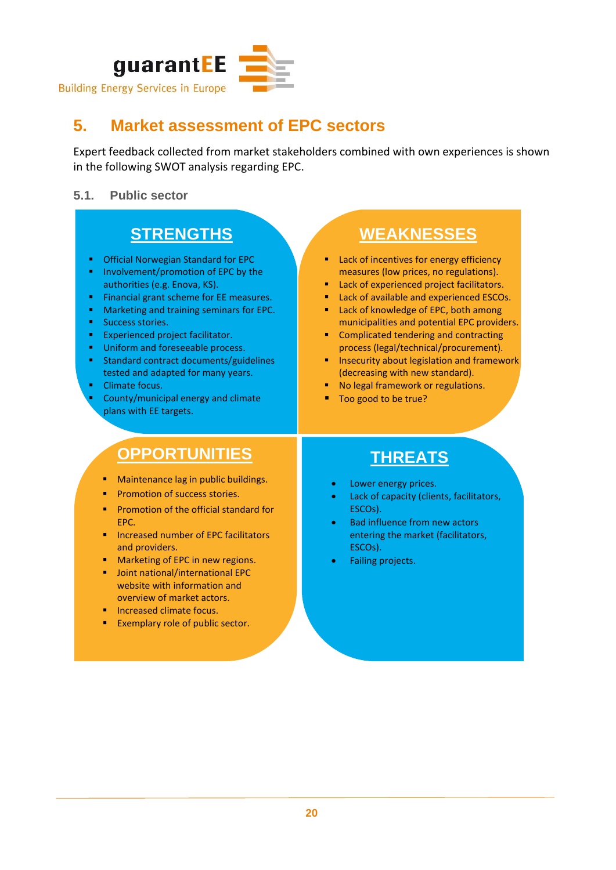

### **5. Market assessment of EPC sectors**

Expert feedback collected from market stakeholders combined with own experiences is shown in the following SWOT analysis regarding EPC.

#### **5.1. Public sector**

### **STRENGTHS**

- **Official Norwegian Standard for EPC**
- Involvement/promotion of EPC by the authorities (e.g. Enova, KS).
- **·** Financial grant scheme for EE measures.
- Marketing and training seminars for EPC.
- **■** Success stories.
- Experienced project facilitator.
- **■** Uniform and foreseeable process.
- Standard contract documents/guidelines tested and adapted for many years.
- Climate focus.
	- County/municipal energy and climate plans with EE targets.

### **OPPORTUNITIES**

- Maintenance lag in public buildings.
- Promotion of success stories.
- Promotion of the official standard for EPC.
- Increased number of EPC facilitators and providers.
- Marketing of EPC in new regions.
- Joint national/international EPC website with information and overview of market actors.
- **■** Increased climate focus.
- Exemplary role of public sector.

### **WEAKNESSES**

- Lack of incentives for energy efficiency measures (low prices, no regulations).
- Lack of experienced project facilitators.
- Lack of available and experienced ESCOs.
- Lack of knowledge of EPC, both among municipalities and potential EPC providers.
- Complicated tendering and contracting process (legal/technical/procurement).
- Insecurity about legislation and framework (decreasing with new standard).
- No legal framework or regulations.
- Too good to be true?

### **THREATS**

- Lower energy prices.
- Lack of capacity (clients, facilitators, ESCOs).
- Bad influence from new actors entering the market (facilitators, ESCOs).
- Failing projects.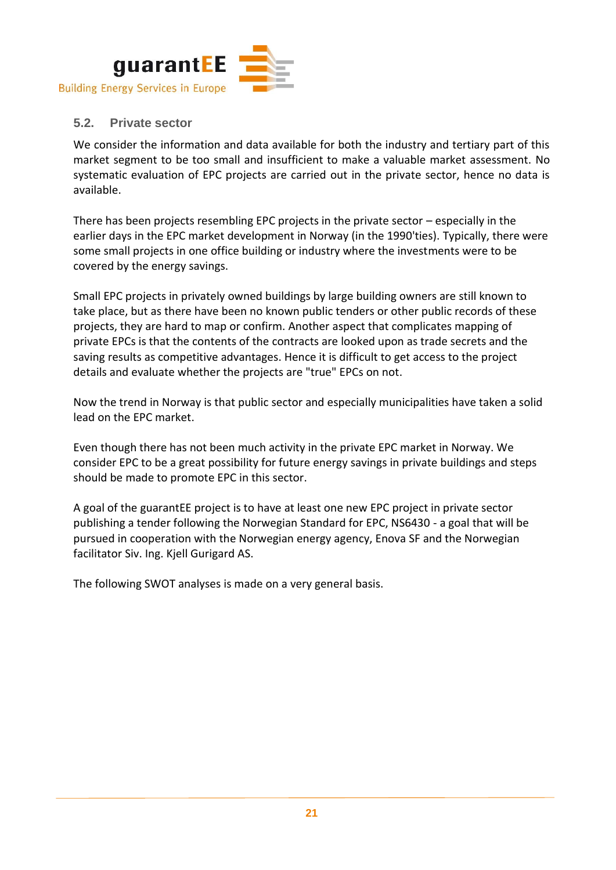

#### **5.2. Private sector**

We consider the information and data available for both the industry and tertiary part of this market segment to be too small and insufficient to make a valuable market assessment. No systematic evaluation of EPC projects are carried out in the private sector, hence no data is available.

There has been projects resembling EPC projects in the private sector – especially in the earlier days in the EPC market development in Norway (in the 1990'ties). Typically, there were some small projects in one office building or industry where the investments were to be covered by the energy savings.

Small EPC projects in privately owned buildings by large building owners are still known to take place, but as there have been no known public tenders or other public records of these projects, they are hard to map or confirm. Another aspect that complicates mapping of private EPCs is that the contents of the contracts are looked upon as trade secrets and the saving results as competitive advantages. Hence it is difficult to get access to the project details and evaluate whether the projects are "true" EPCs on not.

Now the trend in Norway is that public sector and especially municipalities have taken a solid lead on the EPC market.

Even though there has not been much activity in the private EPC market in Norway. We consider EPC to be a great possibility for future energy savings in private buildings and steps should be made to promote EPC in this sector.

A goal of the guarantEE project is to have at least one new EPC project in private sector publishing a tender following the Norwegian Standard for EPC, NS6430 - a goal that will be pursued in cooperation with the Norwegian energy agency, Enova SF and the Norwegian facilitator Siv. Ing. Kjell Gurigard AS.

The following SWOT analyses is made on a very general basis.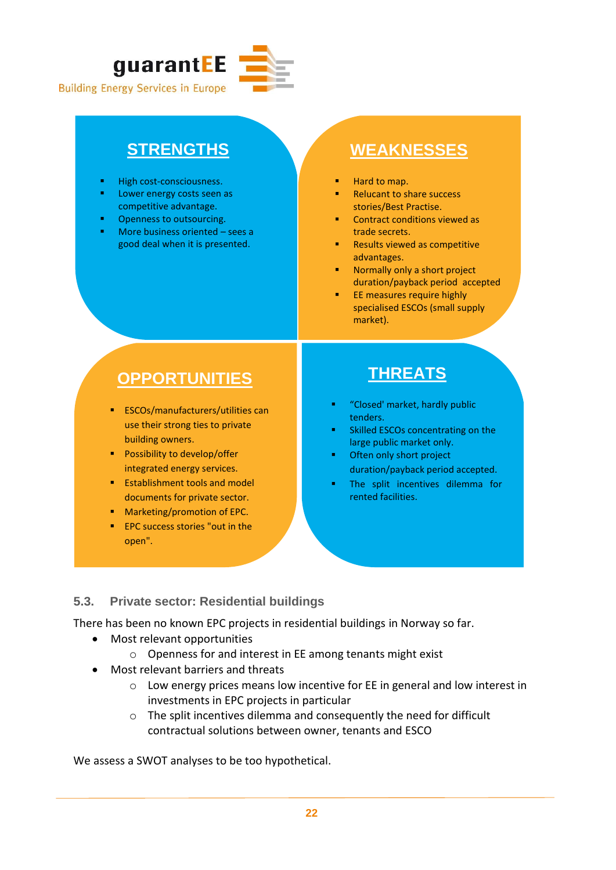

**Building Energy Services in Europe** 

### **STRENGTHS**

- High cost-consciousness.
- Lower energy costs seen as competitive advantage.
- Openness to outsourcing.
- More business oriented  $-$  sees a good deal when it is presented.

### **WEAKNESSES**

- Hard to map.
- **Relucant to share success** stories/Best Practise.
- Contract conditions viewed as trade secrets.
- Results viewed as competitive advantages.
- Normally only a short project duration/payback period accepted
- EE measures require highly specialised ESCOs (small supply market).

### **OPPORTUNITIES**

- ESCOs/manufacturers/utilities can use their strong ties to private building owners.
- Possibility to develop/offer integrated energy services.
- Establishment tools and model documents for private sector.
- Marketing/promotion of EPC.
- EPC success stories "out in the open".

### **THREATS**

- "Closed' market, hardly public tenders.
- **Skilled ESCOs concentrating on the** large public market only.
- **•** Often only short project duration/payback period accepted.
- The split incentives dilemma for rented facilities.

#### **5.3. Private sector: Residential buildings**

There has been no known EPC projects in residential buildings in Norway so far.

- Most relevant opportunities
	- o Openness for and interest in EE among tenants might exist
- Most relevant barriers and threats
	- $\circ$  Low energy prices means low incentive for EE in general and low interest in investments in EPC projects in particular
	- o The split incentives dilemma and consequently the need for difficult contractual solutions between owner, tenants and ESCO

We assess a SWOT analyses to be too hypothetical.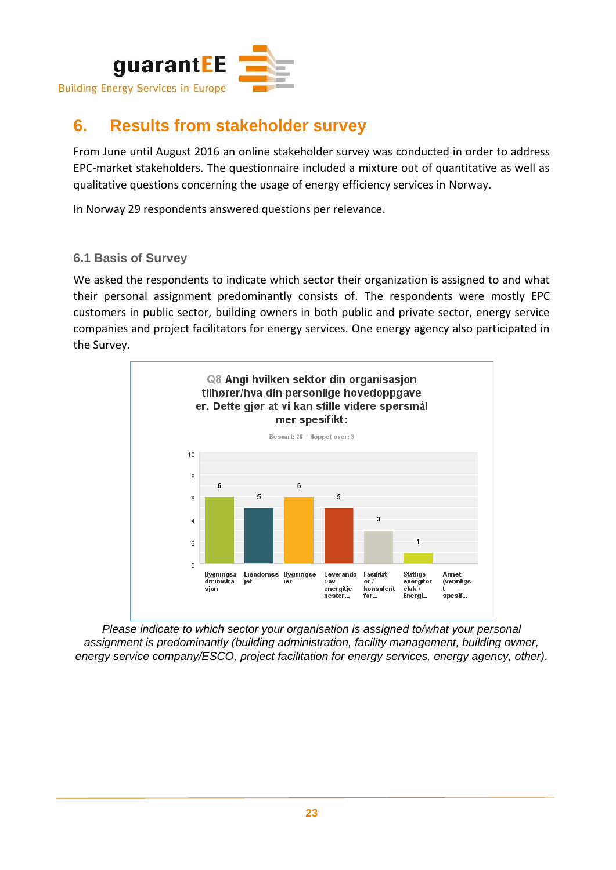

### **6. Results from stakeholder survey**

From June until August 2016 an online stakeholder survey was conducted in order to address EPC-market stakeholders. The questionnaire included a mixture out of quantitative as well as qualitative questions concerning the usage of energy efficiency services in Norway.

In Norway 29 respondents answered questions per relevance.

#### **6.1 Basis of Survey**

We asked the respondents to indicate which sector their organization is assigned to and what their personal assignment predominantly consists of. The respondents were mostly EPC customers in public sector, building owners in both public and private sector, energy service companies and project facilitators for energy services. One energy agency also participated in the Survey.



*Please indicate to which sector your organisation is assigned to/what your personal assignment is predominantly (building administration, facility management, building owner, energy service company/ESCO, project facilitation for energy services, energy agency, other).*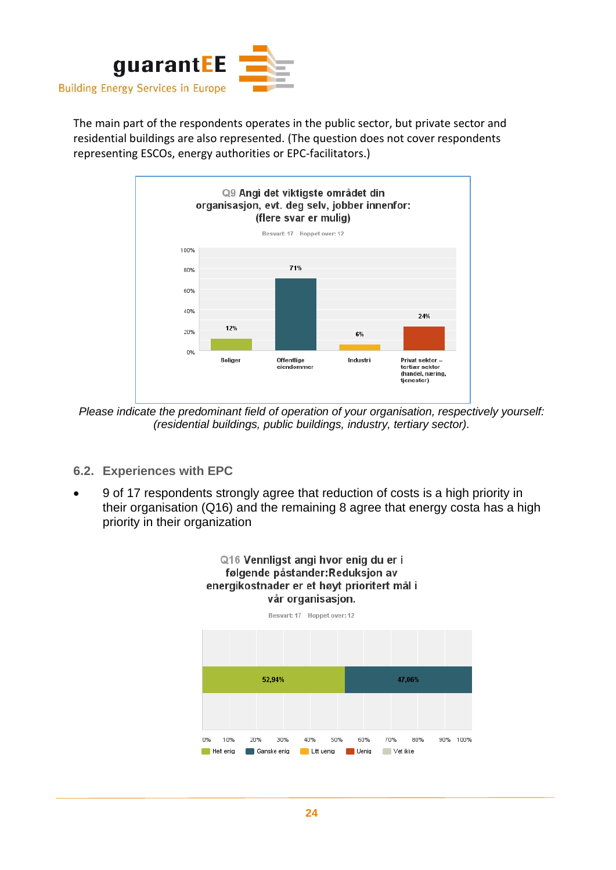

The main part of the respondents operates in the public sector, but private sector and residential buildings are also represented. (The question does not cover respondents representing ESCOs, energy authorities or EPC-facilitators.)



*Please indicate the predominant field of operation of your organisation, respectively yourself: (residential buildings, public buildings, industry, tertiary sector).*

- **6.2. Experiences with EPC**
- 9 of 17 respondents strongly agree that reduction of costs is a high priority in their organisation (Q16) and the remaining 8 agree that energy costa has a high priority in their organization

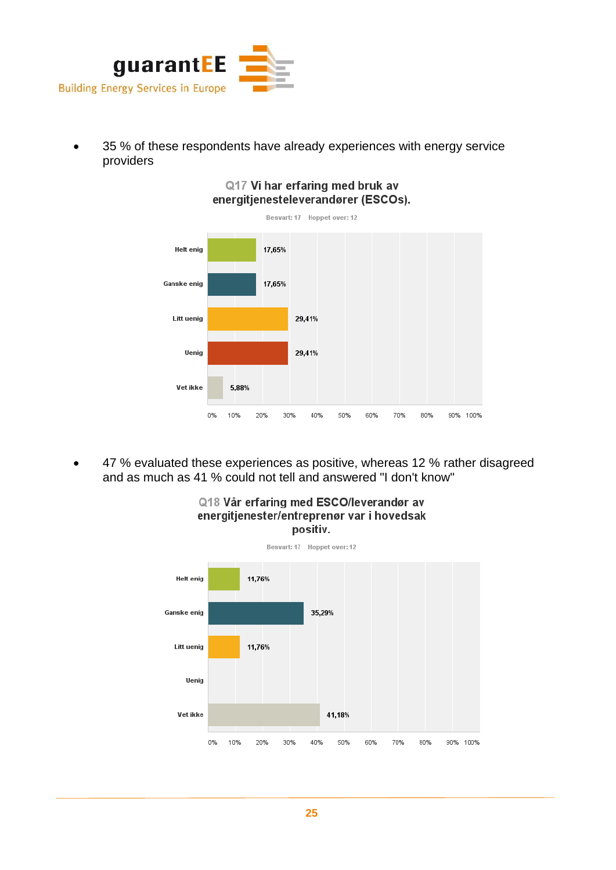

• 35 % of these respondents have already experiences with energy service providers



• 47 % evaluated these experiences as positive, whereas 12 % rather disagreed and as much as 41 % could not tell and answered "I don't know"



#### Q18 Vår erfaring med ESCO/leverandør av energitjenester/entreprenør var i hovedsak positiv.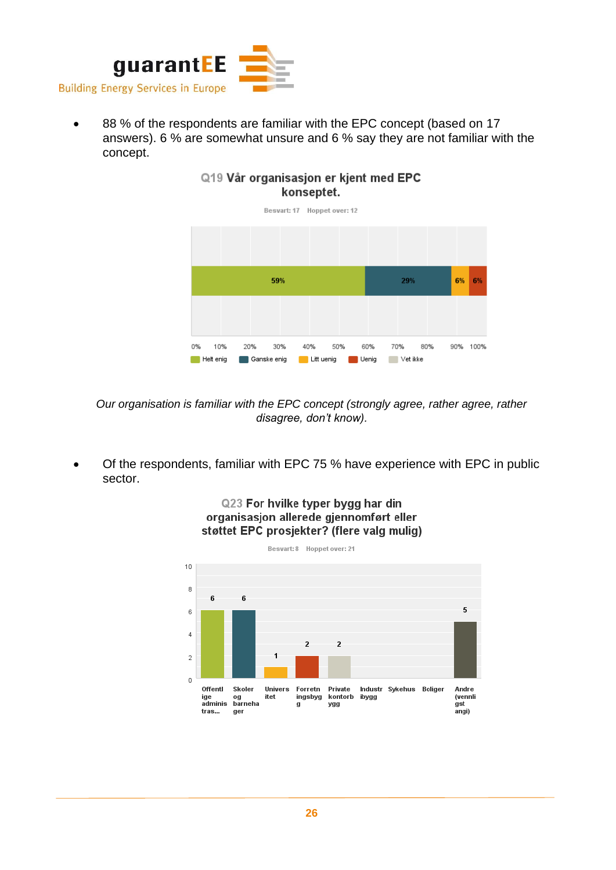

• 88 % of the respondents are familiar with the EPC concept (based on 17 answers). 6 % are somewhat unsure and 6 % say they are not familiar with the concept.



#### Q19 Vår organisasjon er kjent med EPC konseptet.

*Our organisation is familiar with the EPC concept (strongly agree, rather agree, rather disagree, don't know).* 

• Of the respondents, familiar with EPC 75 % have experience with EPC in public sector.



#### Q23 For hvilke typer bygg har din organisasjon allerede gjennomført eller støttet EPC prosjekter? (flere valg mulig)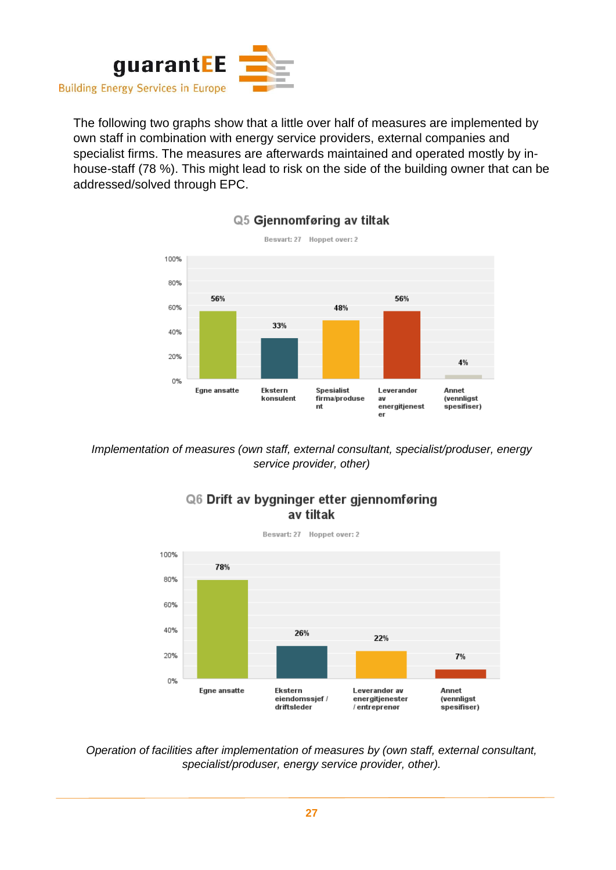

The following two graphs show that a little over half of measures are implemented by own staff in combination with energy service providers, external companies and specialist firms. The measures are afterwards maintained and operated mostly by inhouse-staff (78 %). This might lead to risk on the side of the building owner that can be addressed/solved through EPC.



#### Q5 Gjennomføring av tiltak

*Implementation of measures (own staff, external consultant, specialist/produser, energy service provider, other)*





*Operation of facilities after implementation of measures by (own staff, external consultant, specialist/produser, energy service provider, other).*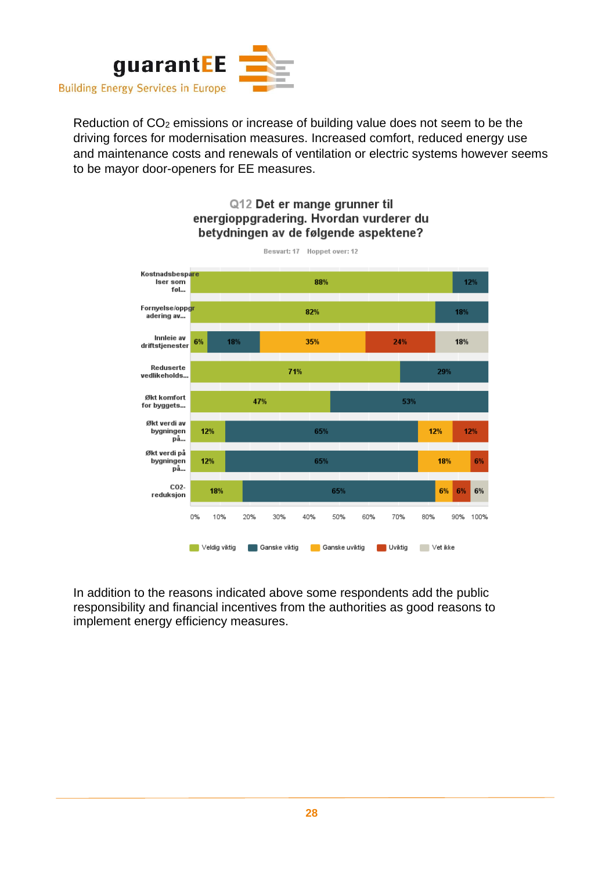

Reduction of CO<sup>2</sup> emissions or increase of building value does not seem to be the driving forces for modernisation measures. Increased comfort, reduced energy use and maintenance costs and renewals of ventilation or electric systems however seems to be mayor door-openers for EE measures.

### Q12 Det er mange grunner til energioppgradering. Hvordan vurderer du betydningen av de følgende aspektene? Besvart: 17 Hoppet over: 12



In addition to the reasons indicated above some respondents add the public responsibility and financial incentives from the authorities as good reasons to implement energy efficiency measures.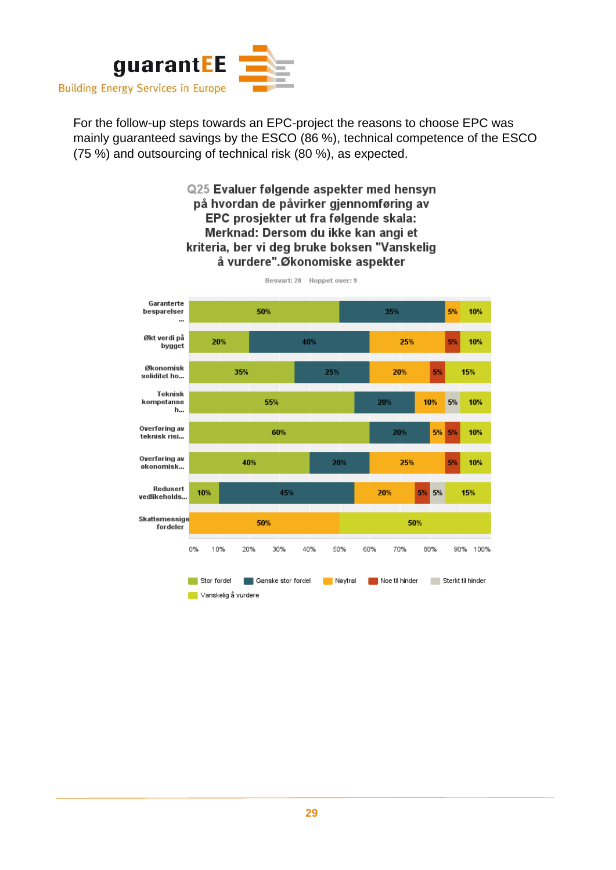

For the follow-up steps towards an EPC-project the reasons to choose EPC was mainly guaranteed savings by the ESCO (86 %), technical competence of the ESCO (75 %) and outsourcing of technical risk (80 %), as expected.

> Q25 Evaluer følgende aspekter med hensyn på hvordan de påvirker gjennomføring av EPC prosjekter ut fra følgende skala: Merknad: Dersom du ikke kan angi et kriteria, ber vi deg bruke boksen "Vanskelig å vurdere".Økonomiske aspekter



Besvart: 20 Hoppet over: 9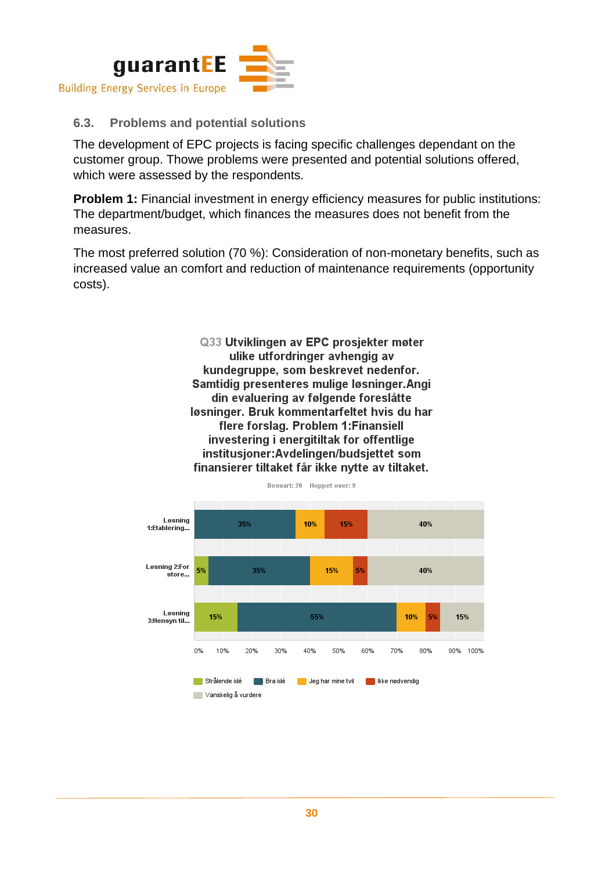

#### **6.3. Problems and potential solutions**

The development of EPC projects is facing specific challenges dependant on the customer group. Thowe problems were presented and potential solutions offered, which were assessed by the respondents.

**Problem 1:** Financial investment in energy efficiency measures for public institutions: The department/budget, which finances the measures does not benefit from the measures.

The most preferred solution (70 %): Consideration of non-monetary benefits, such as increased value an comfort and reduction of maintenance requirements (opportunity costs).

> Q33 Utviklingen av EPC prosjekter møter ulike utfordringer avhengig av kundegruppe, som beskrevet nedenfor. Samtidig presenteres mulige løsninger.Angi din evaluering av følgende foreslåtte Jøsninger. Bruk kommentarfeltet hvis du har flere forslag. Problem 1: Finansiell investering i energitiltak for offentlige institusjoner:Avdelingen/budsjettet som finansierer tiltaket får ikke nytte av tiltaket.

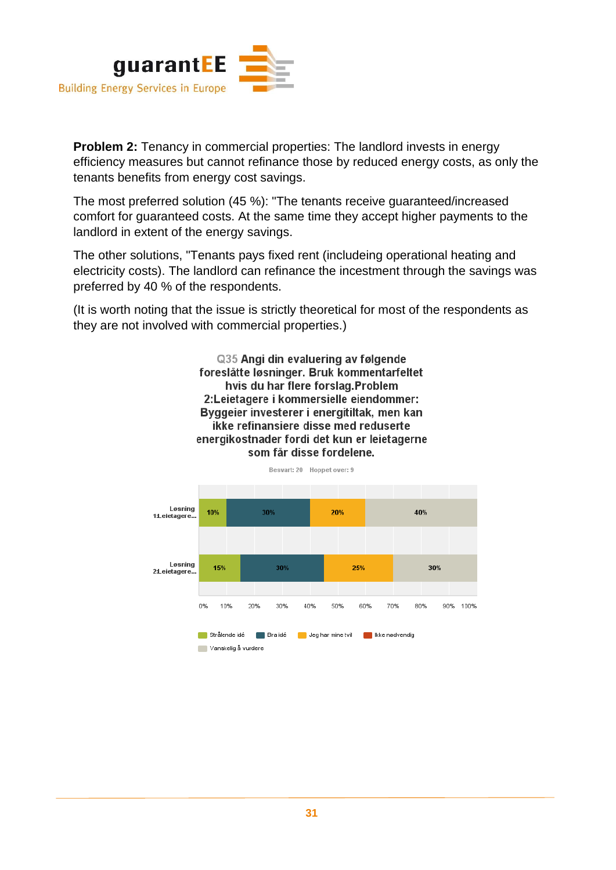

**Problem 2:** Tenancy in commercial properties: The landlord invests in energy efficiency measures but cannot refinance those by reduced energy costs, as only the tenants benefits from energy cost savings.

The most preferred solution (45 %): "The tenants receive guaranteed/increased comfort for guaranteed costs. At the same time they accept higher payments to the landlord in extent of the energy savings.

The other solutions, "Tenants pays fixed rent (includeing operational heating and electricity costs). The landlord can refinance the incestment through the savings was preferred by 40 % of the respondents.

(It is worth noting that the issue is strictly theoretical for most of the respondents as they are not involved with commercial properties.)

> Q35 Angi din evaluering av følgende foreslåtte løsninger. Bruk kommentarfeltet hvis du har flere forslag. Problem 2:Leietagere i kommersielle eiendommer: Byggeier investerer i energitiltak, men kan ikke refinansiere disse med reduserte energikostnader fordi det kun er leietagerne som får disse fordelene.

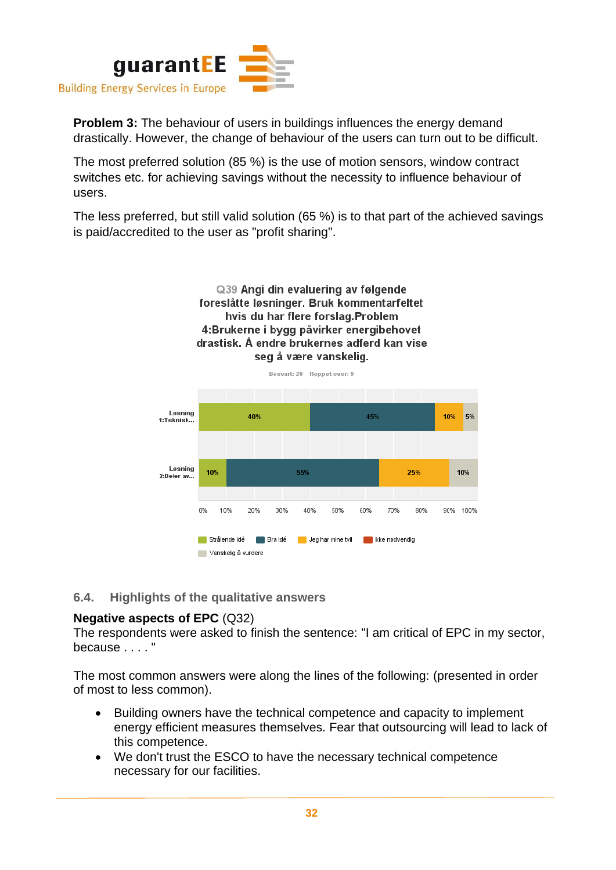

**Problem 3:** The behaviour of users in buildings influences the energy demand drastically. However, the change of behaviour of the users can turn out to be difficult.

The most preferred solution (85 %) is the use of motion sensors, window contract switches etc. for achieving savings without the necessity to influence behaviour of users.

The less preferred, but still valid solution (65 %) is to that part of the achieved savings is paid/accredited to the user as "profit sharing".



5%



#### **6.4. Highlights of the qualitative answers**

#### **Negative aspects of EPC** (Q32)

The respondents were asked to finish the sentence: "I am critical of EPC in my sector, because . . . . "

The most common answers were along the lines of the following: (presented in order of most to less common).

- Building owners have the technical competence and capacity to implement energy efficient measures themselves. Fear that outsourcing will lead to lack of this competence.
- We don't trust the ESCO to have the necessary technical competence necessary for our facilities.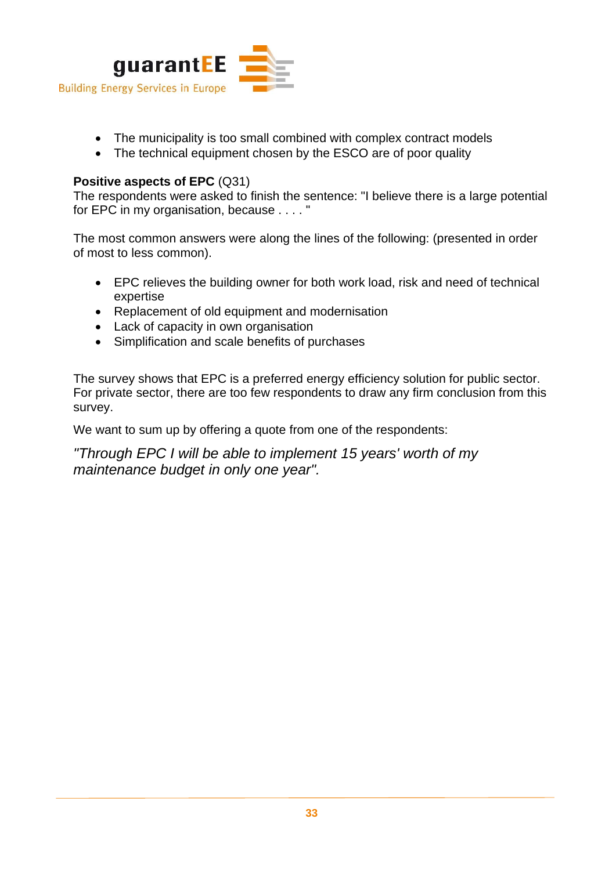

- The municipality is too small combined with complex contract models
- The technical equipment chosen by the ESCO are of poor quality

#### **Positive aspects of EPC** (Q31)

The respondents were asked to finish the sentence: "I believe there is a large potential for EPC in my organisation, because . . . . "

The most common answers were along the lines of the following: (presented in order of most to less common).

- EPC relieves the building owner for both work load, risk and need of technical expertise
- Replacement of old equipment and modernisation
- Lack of capacity in own organisation
- Simplification and scale benefits of purchases

The survey shows that EPC is a preferred energy efficiency solution for public sector. For private sector, there are too few respondents to draw any firm conclusion from this survey.

We want to sum up by offering a quote from one of the respondents:

*"Through EPC I will be able to implement 15 years' worth of my maintenance budget in only one year".*